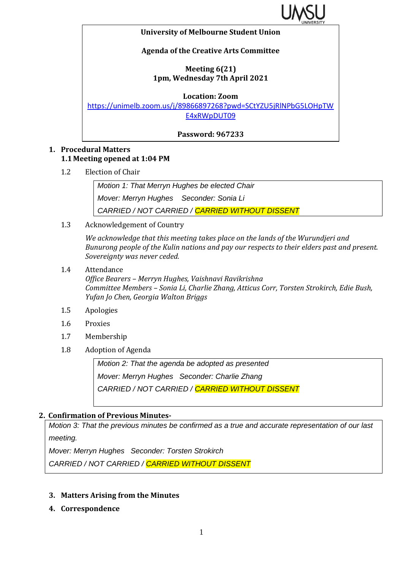

#### **University of Melbourne Student Union**

### **Agenda of the Creative Arts Committee**

### **Meeting 6(21) 1pm, Wednesday 7th April 2021**

**Location: Zoom**

[https://unimelb.zoom.us/j/89866897268?pwd=SCtYZU5jRlNPbG5LOHpTW](https://unimelb.zoom.us/j/89866897268?pwd=SCtYZU5jRlNPbG5LOHpTWE4xRWpDUT09) [E4xRWpDUT09](https://unimelb.zoom.us/j/89866897268?pwd=SCtYZU5jRlNPbG5LOHpTWE4xRWpDUT09)

**Password: 967233**

### **1. Procedural Matters 1.1 Meeting opened at 1:04 PM**

1.2 Election of Chair

*Motion 1: That Merryn Hughes be elected Chair*

*Mover: Merryn Hughes Seconder: Sonia Li*

*CARRIED / NOT CARRIED / CARRIED WITHOUT DISSENT*

1.3 Acknowledgement of Country

*We acknowledge that this meeting takes place on the lands of the Wurundjeri and Bunurong people of the Kulin nations and pay our respects to their elders past and present. Sovereignty was never ceded.* 

1.4 Attendance

*Office Bearers – Merryn Hughes, Vaishnavi Ravikrishna Committee Members – Sonia Li, Charlie Zhang, Atticus Corr, Torsten Strokirch, Edie Bush, Yufan Jo Chen, Georgia Walton Briggs*

- 1.5 Apologies
- 1.6 Proxies
- 1.7 Membership
- 1.8 Adoption of Agenda

*Motion 2: That the agenda be adopted as presented Mover: Merryn Hughes Seconder: Charlie Zhang CARRIED / NOT CARRIED / CARRIED WITHOUT DISSENT*

# **2. Confirmation of Previous Minutes-**

*Motion 3: That the previous minutes be confirmed as a true and accurate representation of our last meeting.*

*Mover: Merryn Hughes Seconder: Torsten Strokirch*

*CARRIED / NOT CARRIED / CARRIED WITHOUT DISSENT*

- **3. Matters Arising from the Minutes**
- **4. Correspondence**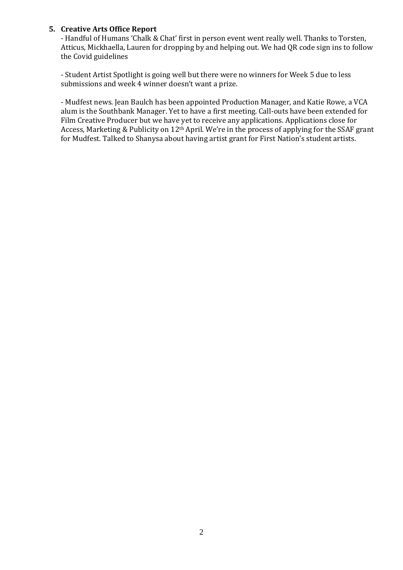#### **5. Creative Arts Office Report**

- Handful of Humans 'Chalk & Chat' first in person event went really well. Thanks to Torsten, Atticus, Mickhaella, Lauren for dropping by and helping out. We had QR code sign ins to follow the Covid guidelines

- Student Artist Spotlight is going well but there were no winners for Week 5 due to less submissions and week 4 winner doesn't want a prize.

- Mudfest news. Jean Baulch has been appointed Production Manager, and Katie Rowe, a VCA alum is the Southbank Manager. Yet to have a first meeting. Call-outs have been extended for Film Creative Producer but we have yet to receive any applications. Applications close for Access, Marketing & Publicity on 12th April. We're in the process of applying for the SSAF grant for Mudfest. Talked to Shanysa about having artist grant for First Nation's student artists.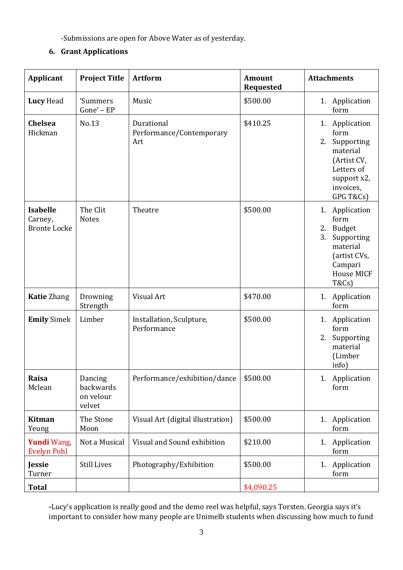-Submissions are open for Above Water as of yesterday.

# **6. Grant Applications**

| Applicant                                         | <b>Project Title</b>                        | <b>Artform</b>                                | <b>Amount</b><br><b>Requested</b> | <b>Attachments</b>                                                                                                                                 |
|---------------------------------------------------|---------------------------------------------|-----------------------------------------------|-----------------------------------|----------------------------------------------------------------------------------------------------------------------------------------------------|
| Lucy Head                                         | 'Summers<br>Gone' - EP                      | Music                                         | \$500.00                          | 1. Application<br>form                                                                                                                             |
| Chelsea<br>Hickman                                | No.13                                       | Durational<br>Performance/Contemporary<br>Art | \$410.25                          | 1. Application<br>form<br>Supporting<br>2.<br>material<br>(Artist CV,<br>Letters of<br>support x2,<br>invoices,<br>GPG T&Cs)                       |
| <b>Isabelle</b><br>Carney,<br><b>Bronte Locke</b> | The Clit<br><b>Notes</b>                    | Theatre                                       | \$500.00                          | 1. Application<br>form<br><b>Budget</b><br>2.<br>3.<br>Supporting<br>material<br>(artist CVs,<br>Campari<br><b>House MICF</b><br><b>T&amp;Cs</b> ) |
| <b>Katie Zhang</b>                                | Drowning<br>Strength                        | Visual Art                                    | \$470.00                          | 1. Application<br>form                                                                                                                             |
| <b>Emily Simek</b>                                | Limber                                      | Installation, Sculpture,<br>Performance       | \$500.00                          | 1. Application<br>form<br>Supporting<br>2.<br>material<br>(Limber<br>info)                                                                         |
| Raisa<br>Mclean                                   | Dancing<br>backwards<br>on velour<br>velvet | Performance/exhibition/dance                  | \$500.00                          | Application<br>1.<br>form                                                                                                                          |
| Kitman<br>Yeung                                   | The Stone<br>Moon                           | Visual Art (digital illustration)             | \$500.00                          | 1. Application<br>form                                                                                                                             |
| Yundi Wang,<br><b>Evelyn Pohl</b>                 | Not a Musical                               | Visual and Sound exhibition                   | \$210.00                          | Application<br>1.<br>form                                                                                                                          |
| Jessie<br>Turner                                  | <b>Still Lives</b>                          | Photography/Exhibition                        | \$500.00                          | 1. Application<br>form                                                                                                                             |
| <b>Total</b>                                      |                                             |                                               | \$4,090.25                        |                                                                                                                                                    |

**-**Lucy's application is really good and the demo reel was helpful, says Torsten. Georgia says it's important to consider how many people are Unimelb students when discussing how much to fund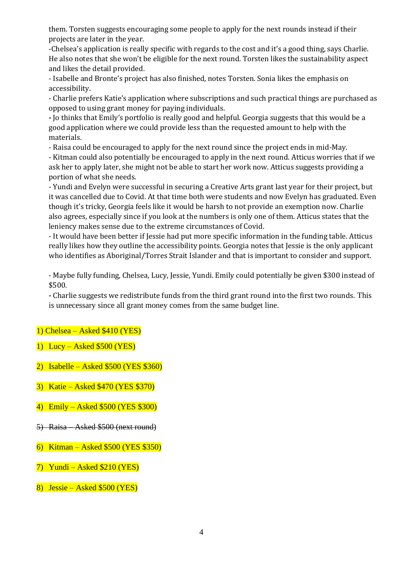them. Torsten suggests encouraging some people to apply for the next rounds instead if their projects are later in the year.

-Chelsea's application is really specific with regards to the cost and it's a good thing, says Charlie. He also notes that she won't be eligible for the next round. Torsten likes the sustainability aspect and likes the detail provided.

- Isabelle and Bronte's project has also finished, notes Torsten. Sonia likes the emphasis on accessibility.

- Charlie prefers Katie's application where subscriptions and such practical things are purchased as opposed to using grant money for paying individuals.

**-** Jo thinks that Emily's portfolio is really good and helpful. Georgia suggests that this would be a good application where we could provide less than the requested amount to help with the materials.

- Raisa could be encouraged to apply for the next round since the project ends in mid-May.

- Kitman could also potentially be encouraged to apply in the next round. Atticus worries that if we ask her to apply later, she might not be able to start her work now. Atticus suggests providing a portion of what she needs.

- Yundi and Evelyn were successful in securing a Creative Arts grant last year for their project, but it was cancelled due to Covid. At that time both were students and now Evelyn has graduated. Even though it's tricky, Georgia feels like it would be harsh to not provide an exemption now. Charlie also agrees, especially since if you look at the numbers is only one of them. Atticus states that the leniency makes sense due to the extreme circumstances of Covid.

- It would have been better if Jessie had put more specific information in the funding table. Atticus really likes how they outline the accessibility points. Georgia notes that Jessie is the only applicant who identifies as Aboriginal/Torres Strait Islander and that is important to consider and support.

- Maybe fully funding, Chelsea, Lucy, Jessie, Yundi. Emily could potentially be given \$300 instead of \$500.

**-** Charlie suggests we redistribute funds from the third grant round into the first two rounds. This is unnecessary since all grant money comes from the same budget line.

### 1) Chelsea – Asked \$410 (YES)

- 1) Lucy Asked \$500 (YES)
- 2) Isabelle Asked \$500 (YES \$360)
- 3) Katie Asked \$470 (YES \$370)
- 4) Emily Asked \$500 (YES \$300)
- 5) Raisa Asked \$500 (next round)
- 6) Kitman Asked \$500 (YES \$350)
- $7)$  Yundi Asked \$210 (YES)
- 8) Jessie Asked \$500 (YES)